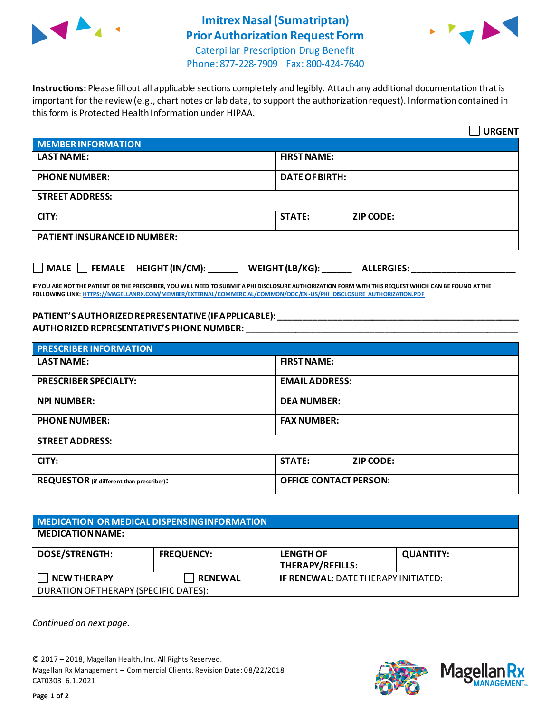

## **Imitrex Nasal (Sumatriptan) Prior Authorization Request Form**



Caterpillar Prescription Drug Benefit Phone: 877-228-7909 Fax: 800-424-7640

**Instructions:** Please fill out all applicable sections completely and legibly. Attach any additional documentation that is important for the review (e.g., chart notes or lab data, to support the authorization request). Information contained in this form is Protected Health Information under HIPAA.

|                                                                            | <b>URGENT</b>                     |  |  |
|----------------------------------------------------------------------------|-----------------------------------|--|--|
| <b>MEMBER INFORMATION</b>                                                  |                                   |  |  |
| <b>LAST NAME:</b>                                                          | <b>FIRST NAME:</b>                |  |  |
| <b>PHONE NUMBER:</b>                                                       | <b>DATE OF BIRTH:</b>             |  |  |
| <b>STREET ADDRESS:</b>                                                     |                                   |  |  |
| CITY:                                                                      | <b>STATE:</b><br><b>ZIP CODE:</b> |  |  |
| <b>PATIENT INSURANCE ID NUMBER:</b>                                        |                                   |  |  |
| MALE $\Box$ FEMALE HEIGHT (IN/CM):<br>WEIGHT (LB/KG):<br><b>ALLERGIES:</b> |                                   |  |  |

**IF YOU ARE NOT THE PATIENT OR THE PRESCRIBER, YOU WILL NEED TO SUBMIT A PHI DISCLOSURE AUTHORIZATION FORM WITH THIS REQUEST WHICH CAN BE FOUND AT THE FOLLOWING LINK[: HTTPS://MAGELLANRX.COM/MEMBER/EXTERNAL/COMMERCIAL/COMMON/DOC/EN-US/PHI\\_DISCLOSURE\\_AUTHORIZATION.PDF](https://magellanrx.com/member/external/commercial/common/doc/en-us/PHI_Disclosure_Authorization.pdf)**

## **PATIENT'S AUTHORIZED REPRESENTATIVE (IF APPLICABLE): \_\_\_\_\_\_\_\_\_\_\_\_\_\_\_\_\_\_\_\_\_\_\_\_\_\_\_\_\_\_\_\_\_\_\_\_\_\_\_\_\_\_\_\_\_\_\_\_\_ AUTHORIZED REPRESENTATIVE'S PHONE NUMBER:** \_\_\_\_\_\_\_\_\_\_\_\_\_\_\_\_\_\_\_\_\_\_\_\_\_\_\_\_\_\_\_\_\_\_\_\_\_\_\_\_\_\_\_\_\_\_\_\_\_\_\_\_\_\_\_

| <b>PRESCRIBER INFORMATION</b>             |                               |  |
|-------------------------------------------|-------------------------------|--|
| <b>LAST NAME:</b>                         | <b>FIRST NAME:</b>            |  |
| <b>PRESCRIBER SPECIALTY:</b>              | <b>EMAIL ADDRESS:</b>         |  |
| <b>NPI NUMBER:</b>                        | <b>DEA NUMBER:</b>            |  |
| <b>PHONE NUMBER:</b>                      | <b>FAX NUMBER:</b>            |  |
| <b>STREET ADDRESS:</b>                    |                               |  |
| CITY:                                     | <b>STATE:</b><br>ZIP CODE:    |  |
| REQUESTOR (if different than prescriber): | <b>OFFICE CONTACT PERSON:</b> |  |

| MEDICATION OR MEDICAL DISPENSING INFORMATION |                   |                                            |                  |  |  |
|----------------------------------------------|-------------------|--------------------------------------------|------------------|--|--|
| <b>MEDICATION NAME:</b>                      |                   |                                            |                  |  |  |
| <b>DOSE/STRENGTH:</b>                        | <b>FREQUENCY:</b> | <b>LENGTH OF</b><br>THERAPY/REFILLS:       | <b>QUANTITY:</b> |  |  |
| <b>NEW THERAPY</b>                           | <b>RENEWAL</b>    | <b>IF RENEWAL: DATE THERAPY INITIATED:</b> |                  |  |  |
| DURATION OF THERAPY (SPECIFIC DATES):        |                   |                                            |                  |  |  |

*Continued on next page.*

© 2017 – 2018, Magellan Health, Inc. All Rights Reserved. Magellan Rx Management – Commercial Clients. Revision Date: 08/22/2018 CAT0303 6.1.2021